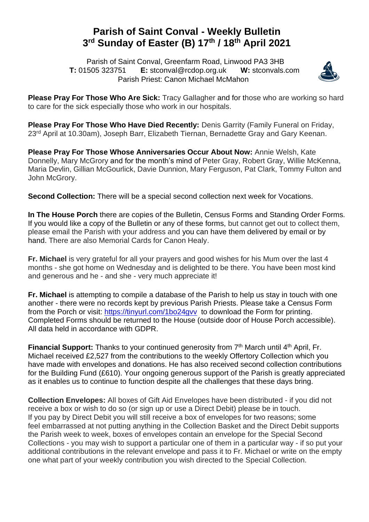## **Parish of Saint Conval - Weekly Bulletin 3 rd Sunday of Easter (B) 17 th / 18 th April 2021**

 Parish of Saint Conval, Greenfarm Road, Linwood PA3 3HB **T:** 01505 323751 **E:** [stconval@rcdop.org.uk](mailto:stconval@rcdop.org.uk) **W:** stconvals.com Parish Priest: Canon Michael McMahon



**Please Pray For Those Who Are Sick:** Tracy Gallagher and for those who are working so hard to care for the sick especially those who work in our hospitals.

**Please Pray For Those Who Have Died Recently:** Denis Garrity (Family Funeral on Friday, 23rd April at 10.30am), Joseph Barr, Elizabeth Tiernan, Bernadette Gray and Gary Keenan.

**Please Pray For Those Whose Anniversaries Occur About Now:** Annie Welsh, Kate Donnelly, Mary McGrory and for the month's mind of Peter Gray, Robert Gray, Willie McKenna, Maria Devlin, Gillian McGourlick, Davie Dunnion, Mary Ferguson, Pat Clark, Tommy Fulton and John McGrory.

**Second Collection:** There will be a special second collection next week for Vocations.

**In The House Porch** there are copies of the Bulletin, Census Forms and Standing Order Forms. If you would like a copy of the Bulletin or any of these forms, but cannot get out to collect them, please email the Parish with your address and you can have them delivered by email or by hand. There are also Memorial Cards for Canon Healy.

**Fr. Michael** is very grateful for all your prayers and good wishes for his Mum over the last 4 months - she got home on Wednesday and is delighted to be there. You have been most kind and generous and he - and she - very much appreciate it!

**Fr. Michael** is attempting to compile a database of the Parish to help us stay in touch with one another - there were no records kept by previous Parish Priests. Please take a Census Form from the Porch or visit:<https://tinyurl.com/1bo24gvv> to download the Form for printing. Completed Forms should be returned to the House (outside door of House Porch accessible). All data held in accordance with GDPR.

**Financial Support:** Thanks to your continued generosity from 7<sup>th</sup> March until 4<sup>th</sup> April, Fr. Michael received £2,527 from the contributions to the weekly Offertory Collection which you have made with envelopes and donations. He has also received second collection contributions for the Building Fund (£610). Your ongoing generous support of the Parish is greatly appreciated as it enables us to continue to function despite all the challenges that these days bring.

**Collection Envelopes:** All boxes of Gift Aid Envelopes have been distributed - if you did not receive a box or wish to do so (or sign up or use a Direct Debit) please be in touch. If you pay by Direct Debit you will still receive a box of envelopes for two reasons; some feel embarrassed at not putting anything in the Collection Basket and the Direct Debit supports the Parish week to week, boxes of envelopes contain an envelope for the Special Second Collections - you may wish to support a particular one of them in a particular way - if so put your additional contributions in the relevant envelope and pass it to Fr. Michael or write on the empty one what part of your weekly contribution you wish directed to the Special Collection.